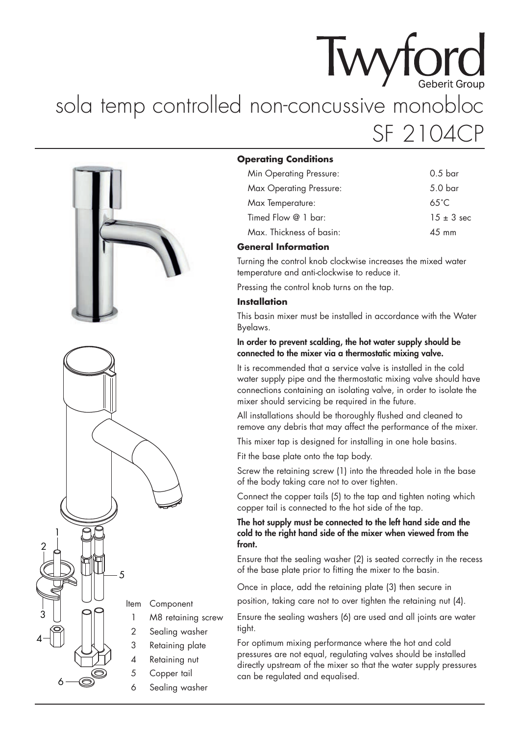# **Twyford** sola temp controlled non-concussive monobloc SF 2104CP



#### **Operating Conditions**

| Min Operating Pressure: | 0.5 <sub>bar</sub> |
|-------------------------|--------------------|
| Max Operating Pressure: | 5.0 <sub>bar</sub> |
| Max Temperature:        | $65^{\circ}$ C     |
| Timed Flow $@1$ bar:    | $1.5 + 3$ sec.     |
| Max Thickness of basin: | $4.5 \text{ mm}$   |

## **General Information**

Turning the control knob clockwise increases the mixed water temperature and anti-clockwise to reduce it.

Pressing the control knob turns on the tap.

## **Installation**

This basin mixer must be installed in accordance with the Water Byelaws.

#### **In order to prevent scalding, the hot water supply should be connected to the mixer via a thermostatic mixing valve.**

It is recommended that a service valve is installed in the cold water supply pipe and the thermostatic mixing valve should have connections containing an isolating valve, in order to isolate the mixer should servicing be required in the future.

All installations should be thoroughly flushed and cleaned to remove any debris that may affect the performance of the mixer.

This mixer tap is designed for installing in one hole basins.

Fit the base plate onto the tap body.

Screw the retaining screw (1) into the threaded hole in the base of the body taking care not to over tighten.

Connect the copper tails (5) to the tap and tighten noting which copper tail is connected to the hot side of the tap.

#### **The hot supply must be connected to the left hand side and the cold to the right hand side of the mixer when viewed from the front.**

Ensure that the sealing washer (2) is seated correctly in the recess of the base plate prior to fitting the mixer to the basin.

Once in place, add the retaining plate (3) then secure in position, taking care not to over tighten the retaining nut (4).

Ensure the sealing washers (6) are used and all joints are water tight.

For optimum mixing performance where the hot and cold pressures are not equal, regulating valves should be installed directly upstream of the mixer so that the water supply pressures can be regulated and equalised.